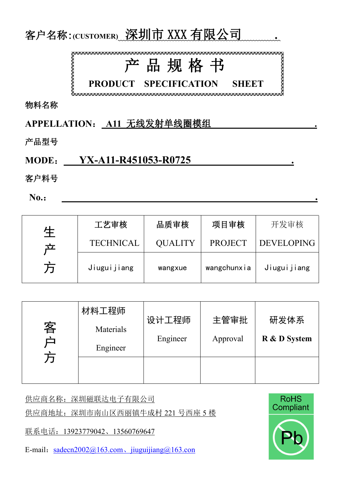

**MODE**: **YX-A11-R451053-R0725 .**

客户料号

**No.**: **.**

| 生 | 工艺审核             | 品质审核           | 项目审核           | 开发审核              |
|---|------------------|----------------|----------------|-------------------|
| 立 | <b>TECHNICAL</b> | <b>QUALITY</b> | <b>PROJECT</b> | <b>DEVELOPING</b> |
| 方 | Jiuguijiang      | wangxue        | wangchunxia    | Jiuguijiang       |

| 客<br>甴 | 材料工程师<br>Materials<br>Engineer | 设计工程师<br>Engineer | 主管审批<br>Approval | 研发体系<br>R & D System |
|--------|--------------------------------|-------------------|------------------|----------------------|
| 万      |                                |                   |                  |                      |

供应商名称: 深圳磁联达电子有限公司 **Window Community of the Rohns** 

供应商地址: 深圳市南山区西丽镇牛成村 221 号西座 5 楼 Thing Supplies

联系电话: 13923779042、13560769647

E-mail: sadecn2002@163.com, [jiuguijiang@163.con](mailto:jiuguijiang@163.con/)

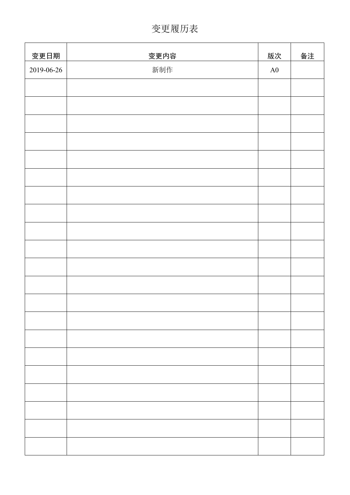变更履历表

| 变更日期       | 变更内容 | 版次         | 备注 |
|------------|------|------------|----|
| 2019-06-26 | 新制作  | ${\bf A0}$ |    |
|            |      |            |    |
|            |      |            |    |
|            |      |            |    |
|            |      |            |    |
|            |      |            |    |
|            |      |            |    |
|            |      |            |    |
|            |      |            |    |
|            |      |            |    |
|            |      |            |    |
|            |      |            |    |
|            |      |            |    |
|            |      |            |    |
|            |      |            |    |
|            |      |            |    |
|            |      |            |    |
|            |      |            |    |
|            |      |            |    |
|            |      |            |    |
|            |      |            |    |
|            |      |            |    |
|            |      |            |    |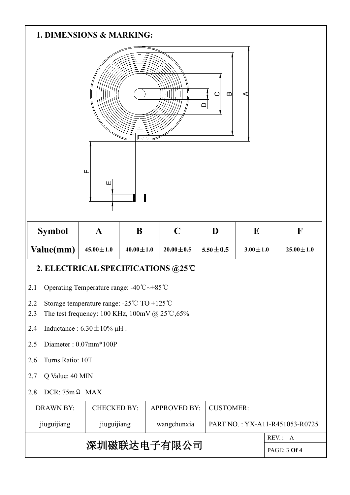| 1. DIMENSIONS & MARKING:           |                                                                                                                     |                 |                     |                                          |                |         |                                |
|------------------------------------|---------------------------------------------------------------------------------------------------------------------|-----------------|---------------------|------------------------------------------|----------------|---------|--------------------------------|
|                                    | Щ<br>Ш                                                                                                              | اسا             |                     | $\circ$<br>$\mathbf{m}$<br>$\hfill \Box$ | ⋖              |         |                                |
| <b>Symbol</b>                      | $\mathbf{A}$                                                                                                        | B               | $\mathbf C$         | D                                        | $\bf{E}$       |         | $\mathbf{F}$                   |
| Value(mm)                          | $45.00 \pm 1.0$                                                                                                     | $40.00 \pm 1.0$ | $20.00 \pm 0.5$     | $5.50 \pm 0.5$                           | $3.00 \pm 1.0$ |         | $25.00 \pm 1.0$                |
| 2. ELECTRICAL SPECIFICATIONS @25°C |                                                                                                                     |                 |                     |                                          |                |         |                                |
| 2.1                                | Operating Temperature range: -40℃~+85℃                                                                              |                 |                     |                                          |                |         |                                |
| 2.2<br>2.3                         | Storage temperature range: $-25^{\circ}$ C TO +125 <sup>°</sup> C<br>The test frequency: 100 KHz, 100mV @ 25°C, 65% |                 |                     |                                          |                |         |                                |
| 2.4                                | Inductance : $6.30 \pm 10\%$ µH.                                                                                    |                 |                     |                                          |                |         |                                |
| 2.5                                | Diameter: 0.07mm*100P                                                                                               |                 |                     |                                          |                |         |                                |
| Turns Ratio: 10T<br>2.6            |                                                                                                                     |                 |                     |                                          |                |         |                                |
| Q Value: 40 MIN<br>2.7             |                                                                                                                     |                 |                     |                                          |                |         |                                |
| $DCR: 75m \Omega$ MAX<br>2.8       |                                                                                                                     |                 |                     |                                          |                |         |                                |
| <b>DRAWN BY:</b>                   | <b>CHECKED BY:</b>                                                                                                  |                 | <b>APPROVED BY:</b> | <b>CUSTOMER:</b>                         |                |         |                                |
| jiuguijiang                        | jiuguijiang                                                                                                         |                 | wangchunxia         |                                          |                |         | PART NO.: YX-A11-R451053-R0725 |
|                                    |                                                                                                                     |                 |                     |                                          |                | REV.: A |                                |
|                                    |                                                                                                                     |                 | 深圳磁联达电子有限公司         |                                          |                |         | PAGE: 3 Of 4                   |